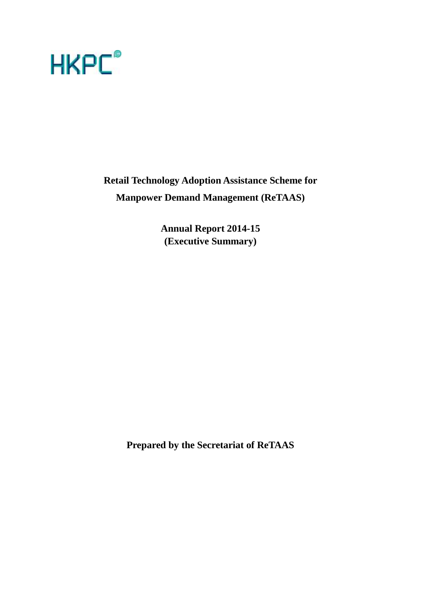

**Retail Technology Adoption Assistance Scheme for Manpower Demand Management (ReTAAS)**

> **Annual Report 2014-15 (Executive Summary)**

**Prepared by the Secretariat of ReTAAS**